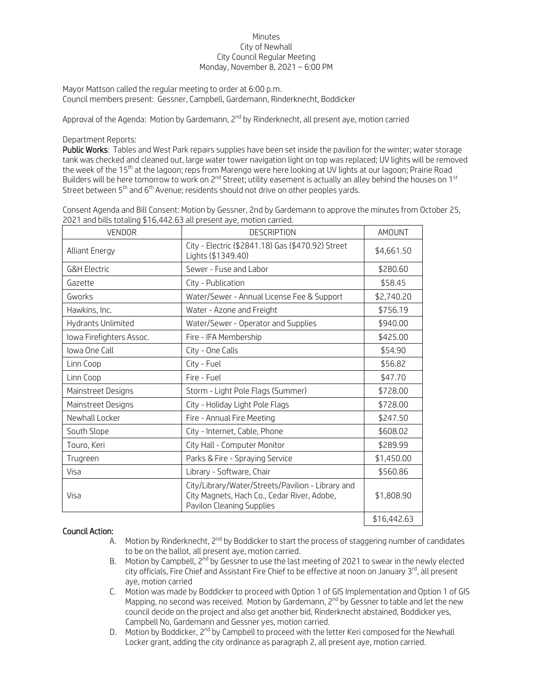## Minutes City of Newhall City Council Regular Meeting Monday, November 8, 2021 – 6:00 PM

Mayor Mattson called the regular meeting to order at 6:00 p.m. Council members present: Gessner, Campbell, Gardemann, Rinderknecht, Boddicker

Approval of the Agenda: Motion by Gardemann, 2<sup>nd</sup> by Rinderknecht, all present aye, motion carried

## Department Reports:

Public Works: Tables and West Park repairs supplies have been set inside the pavilion for the winter; water storage tank was checked and cleaned out, large water tower navigation light on top was replaced; UV lights will be removed the week of the 15<sup>th</sup> at the lagoon; reps from Marengo were here looking at UV lights at our lagoon; Prairie Road Builders will be here tomorrow to work on 2<sup>nd</sup> Street; utility easement is actually an alley behind the houses on 1<sup>st</sup> Street between 5<sup>th</sup> and 6<sup>th</sup> Avenue; residents should not drive on other peoples yards.

| Consent Agenda and Bill Consent: Motion by Gessner, 2nd by Gardemann to approve the minutes from October 25, |  |
|--------------------------------------------------------------------------------------------------------------|--|
| 2021 and bills totaling \$16,442.63 all present aye, motion carried.                                         |  |

| <b>VENDOR</b>            | <b>DESCRIPTION</b>                                                                                                            | AMOUNT      |
|--------------------------|-------------------------------------------------------------------------------------------------------------------------------|-------------|
| Alliant Energy           | City - Electric (\$2841.18) Gas (\$470.92) Street<br>Lights (\$1349.40)                                                       | \$4,661.50  |
| <b>G&amp;H Electric</b>  | Sewer - Fuse and Labor                                                                                                        | \$280.60    |
| Gazette                  | City - Publication                                                                                                            | \$58.45     |
| Gworks                   | Water/Sewer - Annual License Fee & Support                                                                                    | \$2,740.20  |
| Hawkins, Inc.            | Water - Azone and Freight                                                                                                     | \$756.19    |
| Hydrants Unlimited       | Water/Sewer - Operator and Supplies                                                                                           | \$940.00    |
| Iowa Firefighters Assoc. | Fire - IFA Membership                                                                                                         | \$425.00    |
| Iowa One Call            | City - One Calls                                                                                                              | \$54.90     |
| Linn Coop                | City - Fuel                                                                                                                   | \$56.82     |
| Linn Coop                | Fire - Fuel                                                                                                                   | \$47.70     |
| Mainstreet Designs       | Storm - Light Pole Flags (Summer)                                                                                             | \$728.00    |
| Mainstreet Designs       | City - Holiday Light Pole Flags                                                                                               | \$728.00    |
| Newhall Locker           | Fire - Annual Fire Meeting                                                                                                    | \$247.50    |
| South Slope              | City - Internet, Cable, Phone                                                                                                 | \$608.02    |
| Touro, Keri              | City Hall - Computer Monitor                                                                                                  | \$289.99    |
| Trugreen                 | Parks & Fire - Spraying Service                                                                                               | \$1,450.00  |
| Visa                     | Library - Software, Chair                                                                                                     | \$560.86    |
| Visa                     | City/Library/Water/Streets/Pavilion - Library and<br>City Magnets, Hach Co., Cedar River, Adobe,<br>Pavilon Cleaning Supplies | \$1,808.90  |
|                          |                                                                                                                               | \$16.442.63 |

## Council Action:

- A. Motion by Rinderknecht, 2<sup>nd</sup> by Boddicker to start the process of staggering number of candidates to be on the ballot, all present aye, motion carried.
- B. Motion by Campbell, 2<sup>nd</sup> by Gessner to use the last meeting of 2021 to swear in the newly elected city officials, Fire Chief and Assistant Fire Chief to be effective at noon on January 3<sup>rd</sup>, all present aye, motion carried
- C. Motion was made by Boddicker to proceed with Option 1 of GIS Implementation and Option 1 of GIS Mapping, no second was received. Motion by Gardemann, 2<sup>nd</sup> by Gessner to table and let the new council decide on the project and also get another bid, Rinderknecht abstained, Boddicker yes, Campbell No, Gardemann and Gessner yes, motion carried.
- D. Motion by Boddicker,  $2^{nd}$  by Campbell to proceed with the letter Keri composed for the Newhall Locker grant, adding the city ordinance as paragraph 2, all present aye, motion carried.